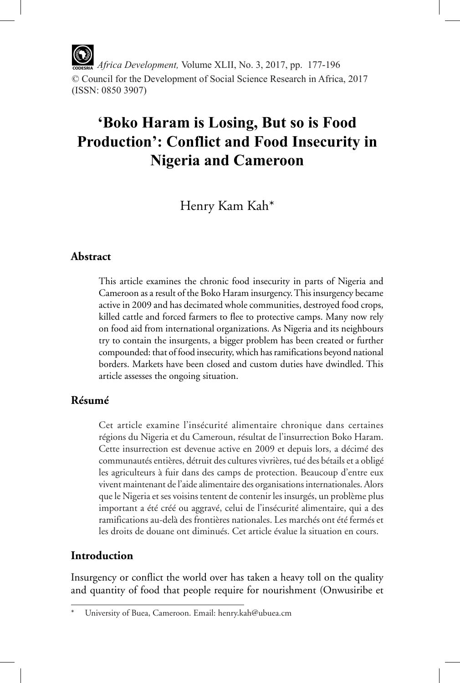*Africa Development,* Volume XLII, No. 3, 2017, pp. 177-196 © Council for the Development of Social Science Research in Africa, 2017 (ISSN: 0850 3907)

# **'Boko Haram is Losing, But so is Food Production': Conflict and Food Insecurity in Nigeria and Cameroon**

# Henry Kam Kah\*

### **Abstract**

This article examines the chronic food insecurity in parts of Nigeria and Cameroon as a result of the Boko Haram insurgency. This insurgency became active in 2009 and has decimated whole communities, destroyed food crops, killed cattle and forced farmers to flee to protective camps. Many now rely on food aid from international organizations. As Nigeria and its neighbours try to contain the insurgents, a bigger problem has been created or further compounded: that of food insecurity, which has ramifications beyond national borders. Markets have been closed and custom duties have dwindled. This article assesses the ongoing situation.

#### **Résumé**

Cet article examine l'insécurité alimentaire chronique dans certaines régions du Nigeria et du Cameroun, résultat de l'insurrection Boko Haram. Cette insurrection est devenue active en 2009 et depuis lors, a décimé des communautés entières, détruit des cultures vivrières, tué des bétails et a obligé les agriculteurs à fuir dans des camps de protection. Beaucoup d'entre eux vivent maintenant de l'aide alimentaire des organisations internationales. Alors que le Nigeria et ses voisins tentent de contenir les insurgés, un problème plus important a été créé ou aggravé, celui de l'insécurité alimentaire, qui a des ramifications au-delà des frontières nationales. Les marchés ont été fermés et les droits de douane ont diminués. Cet article évalue la situation en cours.

# **Introduction**

Insurgency or conflict the world over has taken a heavy toll on the quality and quantity of food that people require for nourishment (Onwusiribe et

University of Buea, Cameroon. Email: henry.kah@ubuea.cm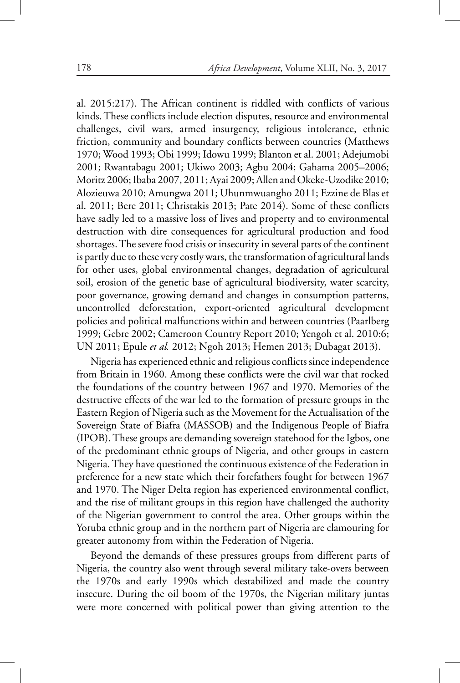al. 2015:217). The African continent is riddled with conflicts of various kinds. These conflicts include election disputes, resource and environmental challenges, civil wars, armed insurgency, religious intolerance, ethnic friction, community and boundary conflicts between countries (Matthews 1970; Wood 1993; Obi 1999; Idowu 1999; Blanton et al. 2001; Adejumobi 2001; Rwantabagu 2001; Ukiwo 2003; Agbu 2004; Gahama 2005–2006; Moritz 2006; Ibaba 2007, 2011; Ayai 2009; Allen and Okeke-Uzodike 2010; Alozieuwa 2010; Amungwa 2011; Uhunmwuangho 2011; Ezzine de Blas et al. 2011; Bere 2011; Christakis 2013; Pate 2014). Some of these conflicts have sadly led to a massive loss of lives and property and to environmental destruction with dire consequences for agricultural production and food shortages. The severe food crisis or insecurity in several parts of the continent is partly due to these very costly wars, the transformation of agricultural lands for other uses, global environmental changes, degradation of agricultural soil, erosion of the genetic base of agricultural biodiversity, water scarcity, poor governance, growing demand and changes in consumption patterns, uncontrolled deforestation, export-oriented agricultural development policies and political malfunctions within and between countries (Paarlberg 1999; Gebre 2002; Cameroon Country Report 2010; Yengoh et al. 2010:6; UN 2011; Epule *et al.* 2012; Ngoh 2013; Hemen 2013; Dubagat 2013).

Nigeria has experienced ethnic and religious conflicts since independence from Britain in 1960. Among these conflicts were the civil war that rocked the foundations of the country between 1967 and 1970. Memories of the destructive effects of the war led to the formation of pressure groups in the Eastern Region of Nigeria such as the Movement for the Actualisation of the Sovereign State of Biafra (MASSOB) and the Indigenous People of Biafra (IPOB). These groups are demanding sovereign statehood for the Igbos, one of the predominant ethnic groups of Nigeria, and other groups in eastern Nigeria. They have questioned the continuous existence of the Federation in preference for a new state which their forefathers fought for between 1967 and 1970. The Niger Delta region has experienced environmental conflict, and the rise of militant groups in this region have challenged the authority of the Nigerian government to control the area. Other groups within the Yoruba ethnic group and in the northern part of Nigeria are clamouring for greater autonomy from within the Federation of Nigeria.

Beyond the demands of these pressures groups from different parts of Nigeria, the country also went through several military take-overs between the 1970s and early 1990s which destabilized and made the country insecure. During the oil boom of the 1970s, the Nigerian military juntas were more concerned with political power than giving attention to the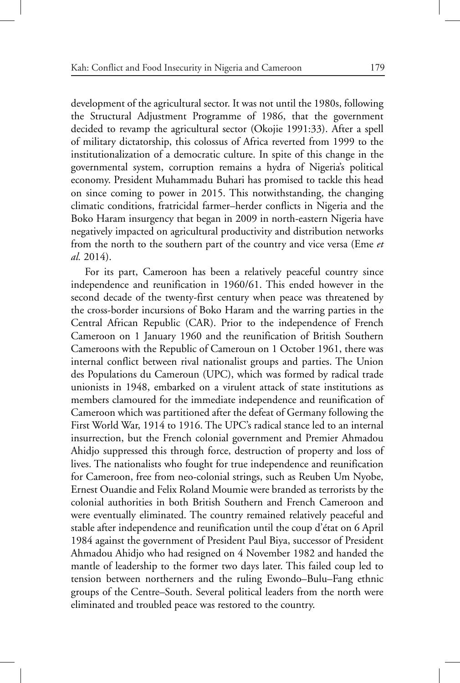development of the agricultural sector. It was not until the 1980s, following the Structural Adjustment Programme of 1986, that the government decided to revamp the agricultural sector (Okojie 1991:33). After a spell of military dictatorship, this colossus of Africa reverted from 1999 to the institutionalization of a democratic culture. In spite of this change in the governmental system, corruption remains a hydra of Nigeria's political economy. President Muhammadu Buhari has promised to tackle this head on since coming to power in 2015. This notwithstanding, the changing climatic conditions, fratricidal farmer–herder conflicts in Nigeria and the Boko Haram insurgency that began in 2009 in north-eastern Nigeria have negatively impacted on agricultural productivity and distribution networks from the north to the southern part of the country and vice versa (Eme *et al.* 2014).

For its part, Cameroon has been a relatively peaceful country since independence and reunification in 1960/61. This ended however in the second decade of the twenty-first century when peace was threatened by the cross-border incursions of Boko Haram and the warring parties in the Central African Republic (CAR). Prior to the independence of French Cameroon on 1 January 1960 and the reunification of British Southern Cameroons with the Republic of Cameroun on 1 October 1961, there was internal conflict between rival nationalist groups and parties. The Union des Populations du Cameroun (UPC), which was formed by radical trade unionists in 1948, embarked on a virulent attack of state institutions as members clamoured for the immediate independence and reunification of Cameroon which was partitioned after the defeat of Germany following the First World War, 1914 to 1916. The UPC's radical stance led to an internal insurrection, but the French colonial government and Premier Ahmadou Ahidjo suppressed this through force, destruction of property and loss of lives. The nationalists who fought for true independence and reunification for Cameroon, free from neo-colonial strings, such as Reuben Um Nyobe, Ernest Ouandie and Felix Roland Moumie were branded as terrorists by the colonial authorities in both British Southern and French Cameroon and were eventually eliminated. The country remained relatively peaceful and stable after independence and reunification until the coup d'état on 6 April 1984 against the government of President Paul Biya, successor of President Ahmadou Ahidjo who had resigned on 4 November 1982 and handed the mantle of leadership to the former two days later. This failed coup led to tension between northerners and the ruling Ewondo–Bulu–Fang ethnic groups of the Centre–South. Several political leaders from the north were eliminated and troubled peace was restored to the country.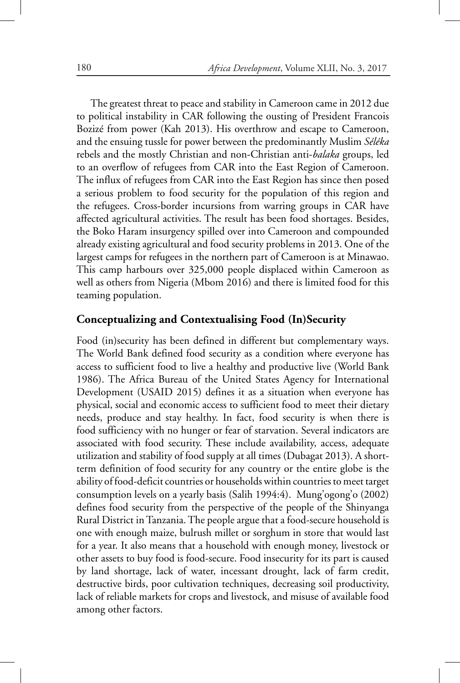The greatest threat to peace and stability in Cameroon came in 2012 due to political instability in CAR following the ousting of President Francois Bozizé from power (Kah 2013). His overthrow and escape to Cameroon, and the ensuing tussle for power between the predominantly Muslim *Séléka* rebels and the mostly Christian and non-Christian anti-*balaka* groups, led to an overflow of refugees from CAR into the East Region of Cameroon. The influx of refugees from CAR into the East Region has since then posed a serious problem to food security for the population of this region and the refugees. Cross-border incursions from warring groups in CAR have affected agricultural activities. The result has been food shortages. Besides, the Boko Haram insurgency spilled over into Cameroon and compounded already existing agricultural and food security problems in 2013. One of the largest camps for refugees in the northern part of Cameroon is at Minawao. This camp harbours over 325,000 people displaced within Cameroon as well as others from Nigeria (Mbom 2016) and there is limited food for this teaming population.

#### **Conceptualizing and Contextualising Food (In)Security**

Food (in)security has been defined in different but complementary ways. The World Bank defined food security as a condition where everyone has access to sufficient food to live a healthy and productive live (World Bank 1986). The Africa Bureau of the United States Agency for International Development (USAID 2015) defines it as a situation when everyone has physical, social and economic access to sufficient food to meet their dietary needs, produce and stay healthy. In fact, food security is when there is food sufficiency with no hunger or fear of starvation. Several indicators are associated with food security. These include availability, access, adequate utilization and stability of food supply at all times (Dubagat 2013). A shortterm definition of food security for any country or the entire globe is the ability of food-deficit countries or households within countries to meet target consumption levels on a yearly basis (Salih 1994:4). Mung'ogong'o (2002) defines food security from the perspective of the people of the Shinyanga Rural District in Tanzania. The people argue that a food-secure household is one with enough maize, bulrush millet or sorghum in store that would last for a year. It also means that a household with enough money, livestock or other assets to buy food is food-secure. Food insecurity for its part is caused by land shortage, lack of water, incessant drought, lack of farm credit, destructive birds, poor cultivation techniques, decreasing soil productivity, lack of reliable markets for crops and livestock, and misuse of available food among other factors.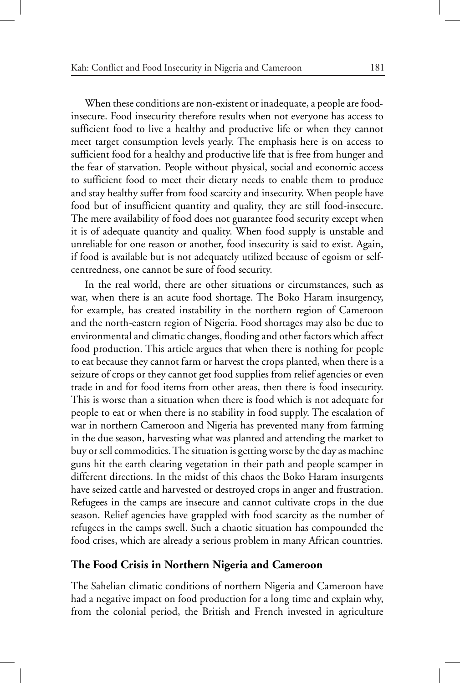When these conditions are non-existent or inadequate, a people are foodinsecure. Food insecurity therefore results when not everyone has access to sufficient food to live a healthy and productive life or when they cannot meet target consumption levels yearly. The emphasis here is on access to sufficient food for a healthy and productive life that is free from hunger and the fear of starvation. People without physical, social and economic access to sufficient food to meet their dietary needs to enable them to produce and stay healthy suffer from food scarcity and insecurity. When people have food but of insufficient quantity and quality, they are still food-insecure. The mere availability of food does not guarantee food security except when it is of adequate quantity and quality. When food supply is unstable and unreliable for one reason or another, food insecurity is said to exist. Again, if food is available but is not adequately utilized because of egoism or selfcentredness, one cannot be sure of food security.

In the real world, there are other situations or circumstances, such as war, when there is an acute food shortage. The Boko Haram insurgency, for example, has created instability in the northern region of Cameroon and the north-eastern region of Nigeria. Food shortages may also be due to environmental and climatic changes, flooding and other factors which affect food production. This article argues that when there is nothing for people to eat because they cannot farm or harvest the crops planted, when there is a seizure of crops or they cannot get food supplies from relief agencies or even trade in and for food items from other areas, then there is food insecurity. This is worse than a situation when there is food which is not adequate for people to eat or when there is no stability in food supply. The escalation of war in northern Cameroon and Nigeria has prevented many from farming in the due season, harvesting what was planted and attending the market to buy or sell commodities. The situation is getting worse by the day as machine guns hit the earth clearing vegetation in their path and people scamper in different directions. In the midst of this chaos the Boko Haram insurgents have seized cattle and harvested or destroyed crops in anger and frustration. Refugees in the camps are insecure and cannot cultivate crops in the due season. Relief agencies have grappled with food scarcity as the number of refugees in the camps swell. Such a chaotic situation has compounded the food crises, which are already a serious problem in many African countries.

#### **The Food Crisis in Northern Nigeria and Cameroon**

The Sahelian climatic conditions of northern Nigeria and Cameroon have had a negative impact on food production for a long time and explain why, from the colonial period, the British and French invested in agriculture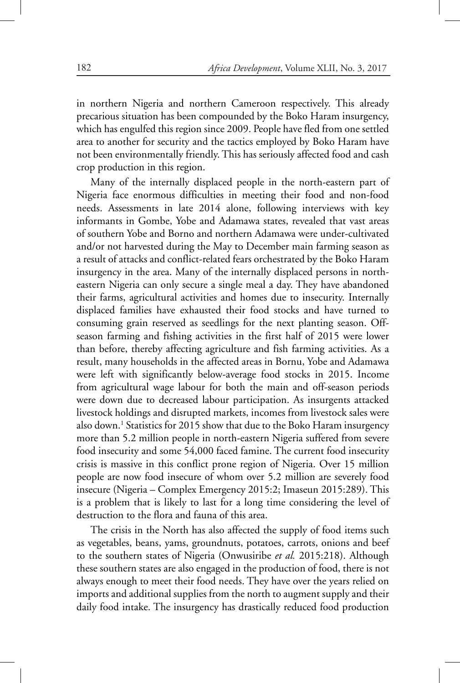in northern Nigeria and northern Cameroon respectively. This already precarious situation has been compounded by the Boko Haram insurgency, which has engulfed this region since 2009. People have fled from one settled area to another for security and the tactics employed by Boko Haram have not been environmentally friendly. This has seriously affected food and cash crop production in this region.

Many of the internally displaced people in the north-eastern part of Nigeria face enormous difficulties in meeting their food and non-food needs. Assessments in late 2014 alone, following interviews with key informants in Gombe, Yobe and Adamawa states, revealed that vast areas of southern Yobe and Borno and northern Adamawa were under-cultivated and/or not harvested during the May to December main farming season as a result of attacks and conflict-related fears orchestrated by the Boko Haram insurgency in the area. Many of the internally displaced persons in northeastern Nigeria can only secure a single meal a day. They have abandoned their farms, agricultural activities and homes due to insecurity. Internally displaced families have exhausted their food stocks and have turned to consuming grain reserved as seedlings for the next planting season. Offseason farming and fishing activities in the first half of 2015 were lower than before, thereby affecting agriculture and fish farming activities. As a result, many households in the affected areas in Bornu, Yobe and Adamawa were left with significantly below-average food stocks in 2015. Income from agricultural wage labour for both the main and off-season periods were down due to decreased labour participation. As insurgents attacked livestock holdings and disrupted markets, incomes from livestock sales were also down.<sup>1</sup> Statistics for 2015 show that due to the Boko Haram insurgency more than 5.2 million people in north-eastern Nigeria suffered from severe food insecurity and some 54,000 faced famine. The current food insecurity crisis is massive in this conflict prone region of Nigeria. Over 15 million people are now food insecure of whom over 5.2 million are severely food insecure (Nigeria – Complex Emergency 2015:2; Imaseun 2015:289). This is a problem that is likely to last for a long time considering the level of destruction to the flora and fauna of this area.

The crisis in the North has also affected the supply of food items such as vegetables, beans, yams, groundnuts, potatoes, carrots, onions and beef to the southern states of Nigeria (Onwusiribe *et al.* 2015:218). Although these southern states are also engaged in the production of food, there is not always enough to meet their food needs. They have over the years relied on imports and additional supplies from the north to augment supply and their daily food intake. The insurgency has drastically reduced food production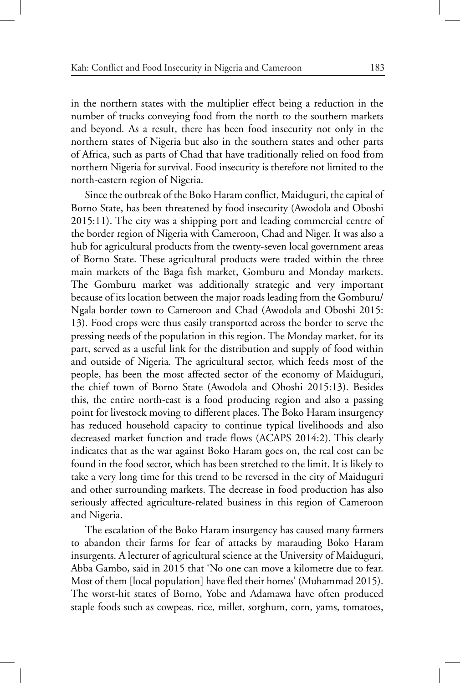in the northern states with the multiplier effect being a reduction in the number of trucks conveying food from the north to the southern markets and beyond. As a result, there has been food insecurity not only in the northern states of Nigeria but also in the southern states and other parts of Africa, such as parts of Chad that have traditionally relied on food from northern Nigeria for survival. Food insecurity is therefore not limited to the north-eastern region of Nigeria.

Since the outbreak of the Boko Haram conflict, Maiduguri, the capital of Borno State, has been threatened by food insecurity (Awodola and Oboshi 2015:11). The city was a shipping port and leading commercial centre of the border region of Nigeria with Cameroon, Chad and Niger. It was also a hub for agricultural products from the twenty-seven local government areas of Borno State. These agricultural products were traded within the three main markets of the Baga fish market, Gomburu and Monday markets. The Gomburu market was additionally strategic and very important because of its location between the major roads leading from the Gomburu/ Ngala border town to Cameroon and Chad (Awodola and Oboshi 2015: 13). Food crops were thus easily transported across the border to serve the pressing needs of the population in this region. The Monday market, for its part, served as a useful link for the distribution and supply of food within and outside of Nigeria. The agricultural sector, which feeds most of the people, has been the most affected sector of the economy of Maiduguri, the chief town of Borno State (Awodola and Oboshi 2015:13). Besides this, the entire north-east is a food producing region and also a passing point for livestock moving to different places. The Boko Haram insurgency has reduced household capacity to continue typical livelihoods and also decreased market function and trade flows (ACAPS 2014:2). This clearly indicates that as the war against Boko Haram goes on, the real cost can be found in the food sector, which has been stretched to the limit. It is likely to take a very long time for this trend to be reversed in the city of Maiduguri and other surrounding markets. The decrease in food production has also seriously affected agriculture-related business in this region of Cameroon and Nigeria.

The escalation of the Boko Haram insurgency has caused many farmers to abandon their farms for fear of attacks by marauding Boko Haram insurgents. A lecturer of agricultural science at the University of Maiduguri, Abba Gambo, said in 2015 that 'No one can move a kilometre due to fear. Most of them [local population] have fled their homes' (Muhammad 2015). The worst-hit states of Borno, Yobe and Adamawa have often produced staple foods such as cowpeas, rice, millet, sorghum, corn, yams, tomatoes,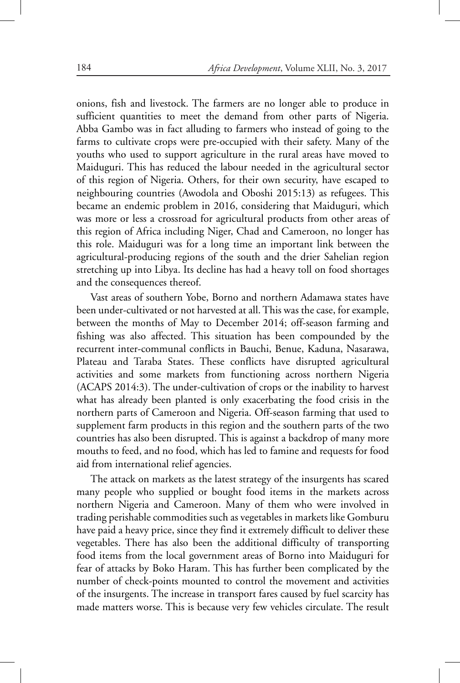onions, fish and livestock. The farmers are no longer able to produce in sufficient quantities to meet the demand from other parts of Nigeria. Abba Gambo was in fact alluding to farmers who instead of going to the farms to cultivate crops were pre-occupied with their safety. Many of the youths who used to support agriculture in the rural areas have moved to Maiduguri. This has reduced the labour needed in the agricultural sector of this region of Nigeria. Others, for their own security, have escaped to neighbouring countries (Awodola and Oboshi 2015:13) as refugees. This became an endemic problem in 2016, considering that Maiduguri, which was more or less a crossroad for agricultural products from other areas of this region of Africa including Niger, Chad and Cameroon, no longer has this role. Maiduguri was for a long time an important link between the agricultural-producing regions of the south and the drier Sahelian region stretching up into Libya. Its decline has had a heavy toll on food shortages and the consequences thereof.

Vast areas of southern Yobe, Borno and northern Adamawa states have been under-cultivated or not harvested at all. This was the case, for example, between the months of May to December 2014; off-season farming and fishing was also affected. This situation has been compounded by the recurrent inter-communal conflicts in Bauchi, Benue, Kaduna, Nasarawa, Plateau and Taraba States. These conflicts have disrupted agricultural activities and some markets from functioning across northern Nigeria (ACAPS 2014:3). The under-cultivation of crops or the inability to harvest what has already been planted is only exacerbating the food crisis in the northern parts of Cameroon and Nigeria. Off-season farming that used to supplement farm products in this region and the southern parts of the two countries has also been disrupted. This is against a backdrop of many more mouths to feed, and no food, which has led to famine and requests for food aid from international relief agencies.

The attack on markets as the latest strategy of the insurgents has scared many people who supplied or bought food items in the markets across northern Nigeria and Cameroon. Many of them who were involved in trading perishable commodities such as vegetables in markets like Gomburu have paid a heavy price, since they find it extremely difficult to deliver these vegetables. There has also been the additional difficulty of transporting food items from the local government areas of Borno into Maiduguri for fear of attacks by Boko Haram. This has further been complicated by the number of check-points mounted to control the movement and activities of the insurgents. The increase in transport fares caused by fuel scarcity has made matters worse. This is because very few vehicles circulate. The result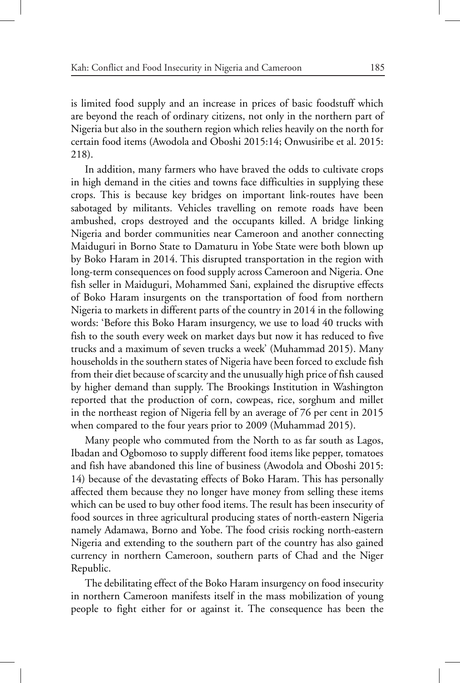is limited food supply and an increase in prices of basic foodstuff which are beyond the reach of ordinary citizens, not only in the northern part of Nigeria but also in the southern region which relies heavily on the north for certain food items (Awodola and Oboshi 2015:14; Onwusiribe et al. 2015: 218).

In addition, many farmers who have braved the odds to cultivate crops in high demand in the cities and towns face difficulties in supplying these crops. This is because key bridges on important link-routes have been sabotaged by militants. Vehicles travelling on remote roads have been ambushed, crops destroyed and the occupants killed. A bridge linking Nigeria and border communities near Cameroon and another connecting Maiduguri in Borno State to Damaturu in Yobe State were both blown up by Boko Haram in 2014. This disrupted transportation in the region with long-term consequences on food supply across Cameroon and Nigeria. One fish seller in Maiduguri, Mohammed Sani, explained the disruptive effects of Boko Haram insurgents on the transportation of food from northern Nigeria to markets in different parts of the country in 2014 in the following words: 'Before this Boko Haram insurgency, we use to load 40 trucks with fish to the south every week on market days but now it has reduced to five trucks and a maximum of seven trucks a week' (Muhammad 2015). Many households in the southern states of Nigeria have been forced to exclude fish from their diet because of scarcity and the unusually high price of fish caused by higher demand than supply. The Brookings Institution in Washington reported that the production of corn, cowpeas, rice, sorghum and millet in the northeast region of Nigeria fell by an average of 76 per cent in 2015 when compared to the four years prior to 2009 (Muhammad 2015).

Many people who commuted from the North to as far south as Lagos, Ibadan and Ogbomoso to supply different food items like pepper, tomatoes and fish have abandoned this line of business (Awodola and Oboshi 2015: 14) because of the devastating effects of Boko Haram. This has personally affected them because they no longer have money from selling these items which can be used to buy other food items. The result has been insecurity of food sources in three agricultural producing states of north-eastern Nigeria namely Adamawa, Borno and Yobe. The food crisis rocking north-eastern Nigeria and extending to the southern part of the country has also gained currency in northern Cameroon, southern parts of Chad and the Niger Republic.

The debilitating effect of the Boko Haram insurgency on food insecurity in northern Cameroon manifests itself in the mass mobilization of young people to fight either for or against it. The consequence has been the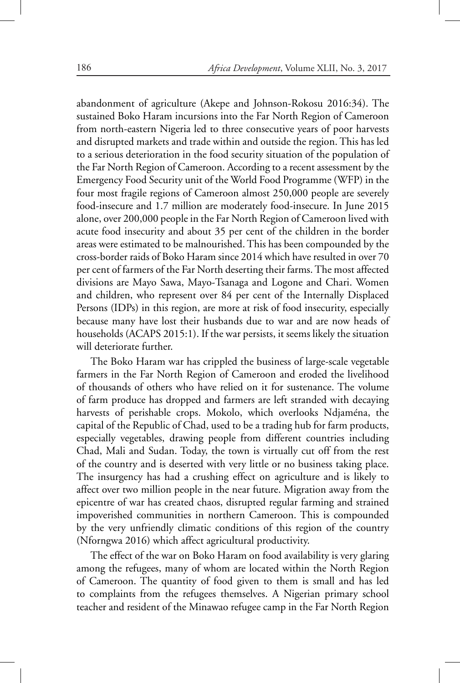abandonment of agriculture (Akepe and Johnson-Rokosu 2016:34). The sustained Boko Haram incursions into the Far North Region of Cameroon from north-eastern Nigeria led to three consecutive years of poor harvests and disrupted markets and trade within and outside the region. This has led to a serious deterioration in the food security situation of the population of the Far North Region of Cameroon. According to a recent assessment by the Emergency Food Security unit of the World Food Programme (WFP) in the four most fragile regions of Cameroon almost 250,000 people are severely food-insecure and 1.7 million are moderately food-insecure. In June 2015 alone, over 200,000 people in the Far North Region of Cameroon lived with acute food insecurity and about 35 per cent of the children in the border areas were estimated to be malnourished. This has been compounded by the cross-border raids of Boko Haram since 2014 which have resulted in over 70 per cent of farmers of the Far North deserting their farms. The most affected divisions are Mayo Sawa, Mayo-Tsanaga and Logone and Chari. Women and children, who represent over 84 per cent of the Internally Displaced Persons (IDPs) in this region, are more at risk of food insecurity, especially because many have lost their husbands due to war and are now heads of households (ACAPS 2015:1). If the war persists, it seems likely the situation will deteriorate further.

The Boko Haram war has crippled the business of large-scale vegetable farmers in the Far North Region of Cameroon and eroded the livelihood of thousands of others who have relied on it for sustenance. The volume of farm produce has dropped and farmers are left stranded with decaying harvests of perishable crops. Mokolo, which overlooks Ndjaména, the capital of the Republic of Chad, used to be a trading hub for farm products, especially vegetables, drawing people from different countries including Chad, Mali and Sudan. Today, the town is virtually cut off from the rest of the country and is deserted with very little or no business taking place. The insurgency has had a crushing effect on agriculture and is likely to affect over two million people in the near future. Migration away from the epicentre of war has created chaos, disrupted regular farming and strained impoverished communities in northern Cameroon. This is compounded by the very unfriendly climatic conditions of this region of the country (Nforngwa 2016) which affect agricultural productivity.

The effect of the war on Boko Haram on food availability is very glaring among the refugees, many of whom are located within the North Region of Cameroon. The quantity of food given to them is small and has led to complaints from the refugees themselves. A Nigerian primary school teacher and resident of the Minawao refugee camp in the Far North Region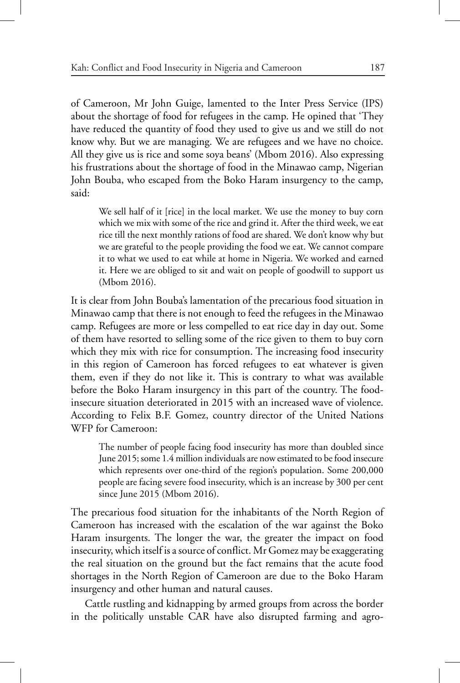of Cameroon, Mr John Guige, lamented to the Inter Press Service (IPS) about the shortage of food for refugees in the camp. He opined that 'They have reduced the quantity of food they used to give us and we still do not know why. But we are managing. We are refugees and we have no choice. All they give us is rice and some soya beans' (Mbom 2016). Also expressing his frustrations about the shortage of food in the Minawao camp, Nigerian John Bouba, who escaped from the Boko Haram insurgency to the camp, said:

We sell half of it [rice] in the local market. We use the money to buy corn which we mix with some of the rice and grind it. After the third week, we eat rice till the next monthly rations of food are shared. We don't know why but we are grateful to the people providing the food we eat. We cannot compare it to what we used to eat while at home in Nigeria. We worked and earned it. Here we are obliged to sit and wait on people of goodwill to support us (Mbom 2016).

It is clear from John Bouba's lamentation of the precarious food situation in Minawao camp that there is not enough to feed the refugees in the Minawao camp. Refugees are more or less compelled to eat rice day in day out. Some of them have resorted to selling some of the rice given to them to buy corn which they mix with rice for consumption. The increasing food insecurity in this region of Cameroon has forced refugees to eat whatever is given them, even if they do not like it. This is contrary to what was available before the Boko Haram insurgency in this part of the country. The foodinsecure situation deteriorated in 2015 with an increased wave of violence. According to Felix B.F. Gomez, country director of the United Nations WFP for Cameroon:

The number of people facing food insecurity has more than doubled since June 2015; some 1.4 million individuals are now estimated to be food insecure which represents over one-third of the region's population. Some 200,000 people are facing severe food insecurity, which is an increase by 300 per cent since June 2015 (Mbom 2016).

The precarious food situation for the inhabitants of the North Region of Cameroon has increased with the escalation of the war against the Boko Haram insurgents. The longer the war, the greater the impact on food insecurity, which itself is a source of conflict. Mr Gomez may be exaggerating the real situation on the ground but the fact remains that the acute food shortages in the North Region of Cameroon are due to the Boko Haram insurgency and other human and natural causes.

Cattle rustling and kidnapping by armed groups from across the border in the politically unstable CAR have also disrupted farming and agro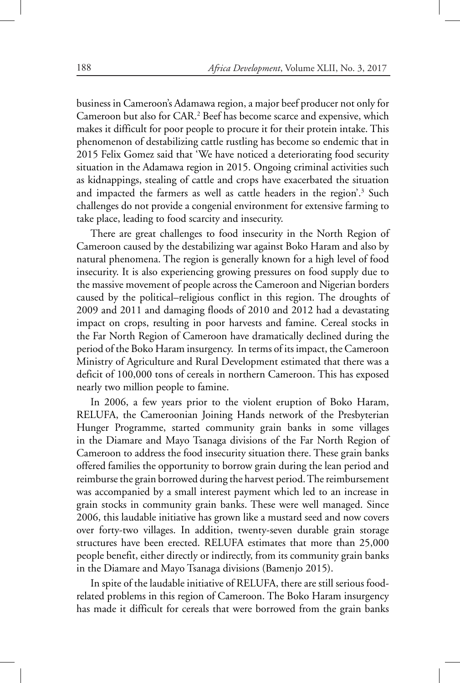business in Cameroon's Adamawa region, a major beef producer not only for Cameroon but also for CAR.<sup>2</sup> Beef has become scarce and expensive, which makes it difficult for poor people to procure it for their protein intake. This phenomenon of destabilizing cattle rustling has become so endemic that in 2015 Felix Gomez said that 'We have noticed a deteriorating food security situation in the Adamawa region in 2015. Ongoing criminal activities such as kidnappings, stealing of cattle and crops have exacerbated the situation and impacted the farmers as well as cattle headers in the region'.<sup>3</sup> Such challenges do not provide a congenial environment for extensive farming to take place, leading to food scarcity and insecurity.

There are great challenges to food insecurity in the North Region of Cameroon caused by the destabilizing war against Boko Haram and also by natural phenomena. The region is generally known for a high level of food insecurity. It is also experiencing growing pressures on food supply due to the massive movement of people across the Cameroon and Nigerian borders caused by the political–religious conflict in this region. The droughts of 2009 and 2011 and damaging floods of 2010 and 2012 had a devastating impact on crops, resulting in poor harvests and famine. Cereal stocks in the Far North Region of Cameroon have dramatically declined during the period of the Boko Haram insurgency. In terms of its impact, the Cameroon Ministry of Agriculture and Rural Development estimated that there was a deficit of 100,000 tons of cereals in northern Cameroon. This has exposed nearly two million people to famine.

In 2006, a few years prior to the violent eruption of Boko Haram, RELUFA, the Cameroonian Joining Hands network of the Presbyterian Hunger Programme, started community grain banks in some villages in the Diamare and Mayo Tsanaga divisions of the Far North Region of Cameroon to address the food insecurity situation there. These grain banks offered families the opportunity to borrow grain during the lean period and reimburse the grain borrowed during the harvest period. The reimbursement was accompanied by a small interest payment which led to an increase in grain stocks in community grain banks. These were well managed. Since 2006, this laudable initiative has grown like a mustard seed and now covers over forty-two villages. In addition, twenty-seven durable grain storage structures have been erected. RELUFA estimates that more than 25,000 people benefit, either directly or indirectly, from its community grain banks in the Diamare and Mayo Tsanaga divisions (Bamenjo 2015).

In spite of the laudable initiative of RELUFA, there are still serious foodrelated problems in this region of Cameroon. The Boko Haram insurgency has made it difficult for cereals that were borrowed from the grain banks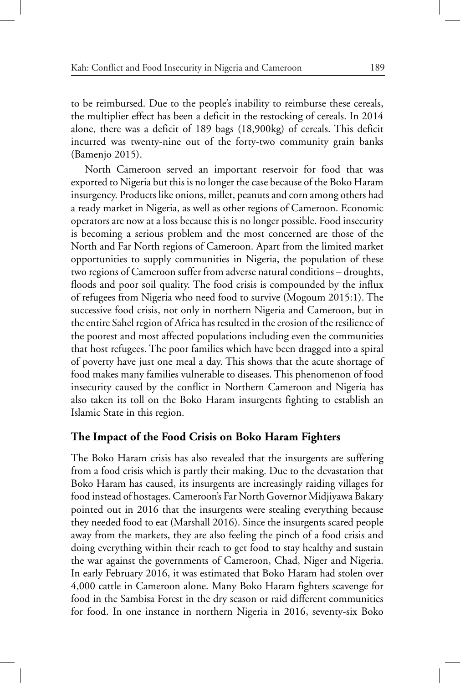to be reimbursed. Due to the people's inability to reimburse these cereals, the multiplier effect has been a deficit in the restocking of cereals. In 2014 alone, there was a deficit of 189 bags (18,900kg) of cereals. This deficit incurred was twenty-nine out of the forty-two community grain banks (Bamenjo 2015).

North Cameroon served an important reservoir for food that was exported to Nigeria but this is no longer the case because of the Boko Haram insurgency. Products like onions, millet, peanuts and corn among others had a ready market in Nigeria, as well as other regions of Cameroon. Economic operators are now at a loss because this is no longer possible. Food insecurity is becoming a serious problem and the most concerned are those of the North and Far North regions of Cameroon. Apart from the limited market opportunities to supply communities in Nigeria, the population of these two regions of Cameroon suffer from adverse natural conditions – droughts, floods and poor soil quality. The food crisis is compounded by the influx of refugees from Nigeria who need food to survive (Mogoum 2015:1). The successive food crisis, not only in northern Nigeria and Cameroon, but in the entire Sahel region of Africa has resulted in the erosion of the resilience of the poorest and most affected populations including even the communities that host refugees. The poor families which have been dragged into a spiral of poverty have just one meal a day. This shows that the acute shortage of food makes many families vulnerable to diseases. This phenomenon of food insecurity caused by the conflict in Northern Cameroon and Nigeria has also taken its toll on the Boko Haram insurgents fighting to establish an Islamic State in this region.

#### **The Impact of the Food Crisis on Boko Haram Fighters**

The Boko Haram crisis has also revealed that the insurgents are suffering from a food crisis which is partly their making. Due to the devastation that Boko Haram has caused, its insurgents are increasingly raiding villages for food instead of hostages. Cameroon's Far North Governor Midjiyawa Bakary pointed out in 2016 that the insurgents were stealing everything because they needed food to eat (Marshall 2016). Since the insurgents scared people away from the markets, they are also feeling the pinch of a food crisis and doing everything within their reach to get food to stay healthy and sustain the war against the governments of Cameroon, Chad, Niger and Nigeria. In early February 2016, it was estimated that Boko Haram had stolen over 4,000 cattle in Cameroon alone. Many Boko Haram fighters scavenge for food in the Sambisa Forest in the dry season or raid different communities for food. In one instance in northern Nigeria in 2016, seventy-six Boko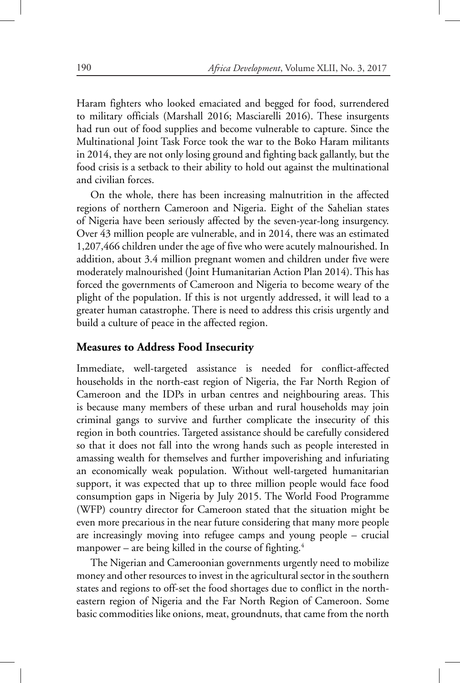Haram fighters who looked emaciated and begged for food, surrendered to military officials (Marshall 2016; Masciarelli 2016). These insurgents had run out of food supplies and become vulnerable to capture. Since the Multinational Joint Task Force took the war to the Boko Haram militants in 2014, they are not only losing ground and fighting back gallantly, but the food crisis is a setback to their ability to hold out against the multinational and civilian forces.

On the whole, there has been increasing malnutrition in the affected regions of northern Cameroon and Nigeria. Eight of the Sahelian states of Nigeria have been seriously affected by the seven-year-long insurgency. Over 43 million people are vulnerable, and in 2014, there was an estimated 1,207,466 children under the age of five who were acutely malnourished. In addition, about 3.4 million pregnant women and children under five were moderately malnourished (Joint Humanitarian Action Plan 2014). This has forced the governments of Cameroon and Nigeria to become weary of the plight of the population. If this is not urgently addressed, it will lead to a greater human catastrophe. There is need to address this crisis urgently and build a culture of peace in the affected region.

#### **Measures to Address Food Insecurity**

Immediate, well-targeted assistance is needed for conflict-affected households in the north-east region of Nigeria, the Far North Region of Cameroon and the IDPs in urban centres and neighbouring areas. This is because many members of these urban and rural households may join criminal gangs to survive and further complicate the insecurity of this region in both countries. Targeted assistance should be carefully considered so that it does not fall into the wrong hands such as people interested in amassing wealth for themselves and further impoverishing and infuriating an economically weak population. Without well-targeted humanitarian support, it was expected that up to three million people would face food consumption gaps in Nigeria by July 2015. The World Food Programme (WFP) country director for Cameroon stated that the situation might be even more precarious in the near future considering that many more people are increasingly moving into refugee camps and young people – crucial manpower – are being killed in the course of fighting. $4$ 

The Nigerian and Cameroonian governments urgently need to mobilize money and other resources to invest in the agricultural sector in the southern states and regions to off-set the food shortages due to conflict in the northeastern region of Nigeria and the Far North Region of Cameroon. Some basic commodities like onions, meat, groundnuts, that came from the north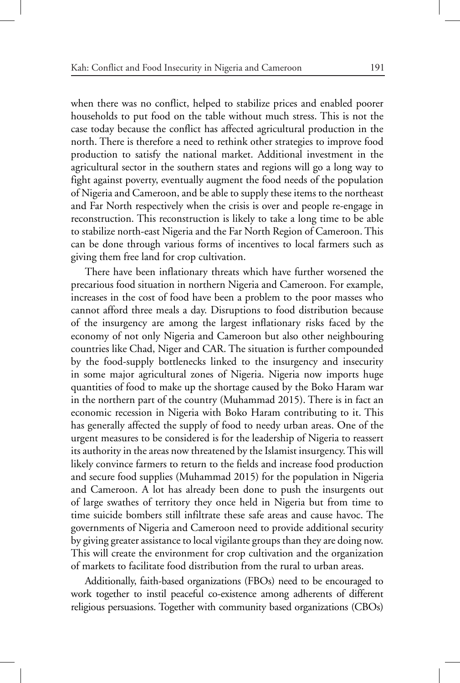when there was no conflict, helped to stabilize prices and enabled poorer households to put food on the table without much stress. This is not the case today because the conflict has affected agricultural production in the north. There is therefore a need to rethink other strategies to improve food production to satisfy the national market. Additional investment in the agricultural sector in the southern states and regions will go a long way to fight against poverty, eventually augment the food needs of the population of Nigeria and Cameroon, and be able to supply these items to the northeast and Far North respectively when the crisis is over and people re-engage in reconstruction. This reconstruction is likely to take a long time to be able to stabilize north-east Nigeria and the Far North Region of Cameroon. This can be done through various forms of incentives to local farmers such as giving them free land for crop cultivation.

There have been inflationary threats which have further worsened the precarious food situation in northern Nigeria and Cameroon. For example, increases in the cost of food have been a problem to the poor masses who cannot afford three meals a day. Disruptions to food distribution because of the insurgency are among the largest inflationary risks faced by the economy of not only Nigeria and Cameroon but also other neighbouring countries like Chad, Niger and CAR. The situation is further compounded by the food-supply bottlenecks linked to the insurgency and insecurity in some major agricultural zones of Nigeria. Nigeria now imports huge quantities of food to make up the shortage caused by the Boko Haram war in the northern part of the country (Muhammad 2015). There is in fact an economic recession in Nigeria with Boko Haram contributing to it. This has generally affected the supply of food to needy urban areas. One of the urgent measures to be considered is for the leadership of Nigeria to reassert its authority in the areas now threatened by the Islamist insurgency. This will likely convince farmers to return to the fields and increase food production and secure food supplies (Muhammad 2015) for the population in Nigeria and Cameroon. A lot has already been done to push the insurgents out of large swathes of territory they once held in Nigeria but from time to time suicide bombers still infiltrate these safe areas and cause havoc. The governments of Nigeria and Cameroon need to provide additional security by giving greater assistance to local vigilante groups than they are doing now. This will create the environment for crop cultivation and the organization of markets to facilitate food distribution from the rural to urban areas.

Additionally, faith-based organizations (FBOs) need to be encouraged to work together to instil peaceful co-existence among adherents of different religious persuasions. Together with community based organizations (CBOs)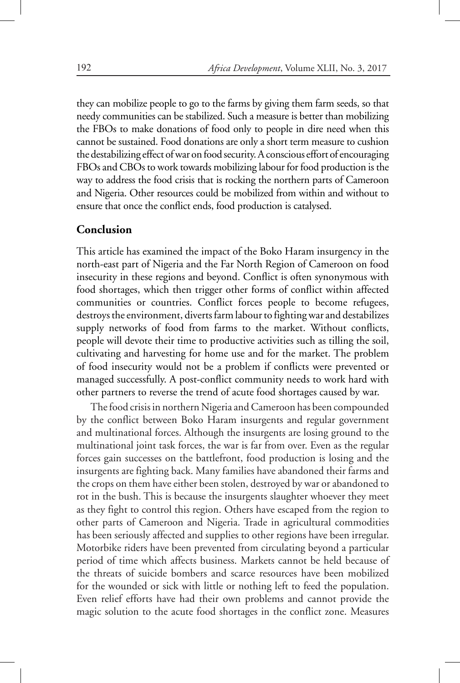they can mobilize people to go to the farms by giving them farm seeds, so that needy communities can be stabilized. Such a measure is better than mobilizing the FBOs to make donations of food only to people in dire need when this cannot be sustained. Food donations are only a short term measure to cushion the destabilizing effect of war on food security. A conscious effort of encouraging FBOs and CBOs to work towards mobilizing labour for food production is the way to address the food crisis that is rocking the northern parts of Cameroon and Nigeria. Other resources could be mobilized from within and without to ensure that once the conflict ends, food production is catalysed.

## **Conclusion**

This article has examined the impact of the Boko Haram insurgency in the north-east part of Nigeria and the Far North Region of Cameroon on food insecurity in these regions and beyond. Conflict is often synonymous with food shortages, which then trigger other forms of conflict within affected communities or countries. Conflict forces people to become refugees, destroys the environment, diverts farm labour to fighting war and destabilizes supply networks of food from farms to the market. Without conflicts, people will devote their time to productive activities such as tilling the soil, cultivating and harvesting for home use and for the market. The problem of food insecurity would not be a problem if conflicts were prevented or managed successfully. A post-conflict community needs to work hard with other partners to reverse the trend of acute food shortages caused by war.

The food crisis in northern Nigeria and Cameroon has been compounded by the conflict between Boko Haram insurgents and regular government and multinational forces. Although the insurgents are losing ground to the multinational joint task forces, the war is far from over. Even as the regular forces gain successes on the battlefront, food production is losing and the insurgents are fighting back. Many families have abandoned their farms and the crops on them have either been stolen, destroyed by war or abandoned to rot in the bush. This is because the insurgents slaughter whoever they meet as they fight to control this region. Others have escaped from the region to other parts of Cameroon and Nigeria. Trade in agricultural commodities has been seriously affected and supplies to other regions have been irregular. Motorbike riders have been prevented from circulating beyond a particular period of time which affects business. Markets cannot be held because of the threats of suicide bombers and scarce resources have been mobilized for the wounded or sick with little or nothing left to feed the population. Even relief efforts have had their own problems and cannot provide the magic solution to the acute food shortages in the conflict zone. Measures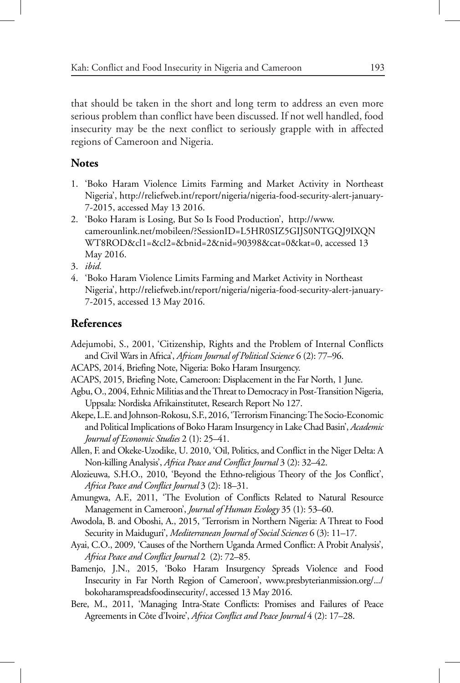that should be taken in the short and long term to address an even more serious problem than conflict have been discussed. If not well handled, food insecurity may be the next conflict to seriously grapple with in affected regions of Cameroon and Nigeria.

#### **Notes**

- 1. 'Boko Haram Violence Limits Farming and Market Activity in Northeast Nigeria', http://reliefweb.int/report/nigeria/nigeria-food-security-alert-january-7-2015, accessed May 13 2016.
- 2. 'Boko Haram is Losing, But So Is Food Production', http://www. camerounlink.net/mobileen/?SessionID=L5HR0SIZ5GIJS0NTGQJ9IXQN WT8ROD&cl1=&cl2=&bnid=2&nid=90398&cat=0&kat=0, accessed 13 May 2016.
- 3. *ibid.*
- 4. 'Boko Haram Violence Limits Farming and Market Activity in Northeast Nigeria', http://reliefweb.int/report/nigeria/nigeria-food-security-alert-january-7-2015, accessed 13 May 2016.

#### **References**

- Adejumobi, S., 2001, 'Citizenship, Rights and the Problem of Internal Conflicts and Civil Wars in Africa', *African Journal of Political Science* 6 (2): 77–96.
- ACAPS, 2014, Briefing Note, Nigeria: Boko Haram Insurgency.
- ACAPS, 2015, Briefing Note, Cameroon: Displacement in the Far North, 1 June.
- Agbu, O., 2004, Ethnic Militias and the Threat to Democracy in Post-Transition Nigeria, Uppsala: Nordiska Afrikainstitutet, Research Report No 127.
- Akepe, L.E. and Johnson-Rokosu, S.F., 2016, 'Terrorism Financing: The Socio-Economic and Political Implications of Boko Haram Insurgency in Lake Chad Basin', *Academic Journal of Economic Studies* 2 (1): 25–41.
- Allen, F. and Okeke-Uzodike, U. 2010, 'Oil, Politics, and Conflict in the Niger Delta: A Non-killing Analysis', *Africa Peace and Conflict Journal* 3 (2): 32–42.
- Alozieuwa, S.H.O., 2010, 'Beyond the Ethno-religious Theory of the Jos Conflict', *Africa Peace and Conflict Journal* 3 (2): 18–31.
- Amungwa, A.F., 2011, 'The Evolution of Conflicts Related to Natural Resource Management in Cameroon', *Journal of Human Ecology* 35 (1): 53–60.
- Awodola, B. and Oboshi, A., 2015, 'Terrorism in Northern Nigeria: A Threat to Food Security in Maiduguri', *Mediterranean Journal of Social Sciences* 6 (3): 11–17.
- Ayai, C.O., 2009, 'Causes of the Northern Uganda Armed Conflict: A Probit Analysis', *Africa Peace and Conflict Journal* 2 (2): 72–85.
- Bamenjo, J.N., 2015, 'Boko Haram Insurgency Spreads Violence and Food Insecurity in Far North Region of Cameroon', www.presbyterianmission.org/.../ bokoharamspreadsfoodinsecurity/, accessed 13 May 2016.
- Bere, M., 2011, 'Managing Intra-State Conflicts: Promises and Failures of Peace Agreements in Côte d'Ivoire', *Africa Conflict and Peace Journal* 4 (2): 17–28.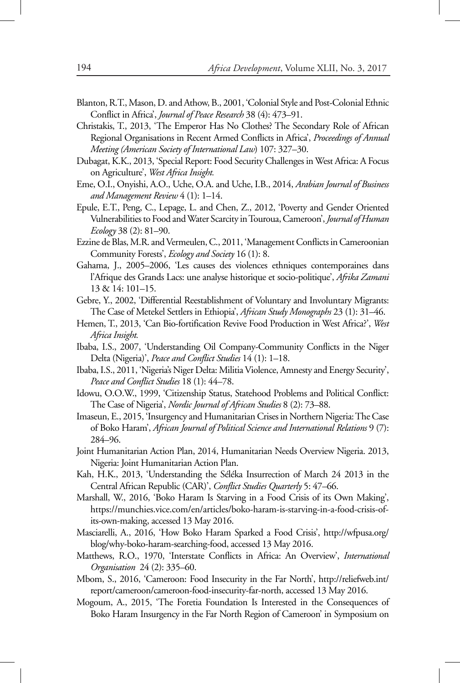- Blanton, R.T., Mason, D. and Athow, B., 2001, 'Colonial Style and Post-Colonial Ethnic Conflict in Africa', *Journal of Peace Research* 38 (4): 473–91.
- Christakis, T., 2013, 'The Emperor Has No Clothes? The Secondary Role of African Regional Organisations in Recent Armed Conflicts in Africa', *Proceedings of Annual Meeting (American Society of International Law*) 107: 327–30.
- Dubagat, K.K., 2013, 'Special Report: Food Security Challenges in West Africa: A Focus on Agriculture', *West Africa Insight.*
- Eme, O.I., Onyishi, A.O., Uche, O.A. and Uche, I.B., 2014, *Arabian Journal of Business and Management Review* 4 (1): 1–14.
- Epule, E.T., Peng, C., Lepage, L. and Chen, Z., 2012, 'Poverty and Gender Oriented Vulnerabilities to Food and Water Scarcity in Touroua, Cameroon', *Journal of Human Ecology* 38 (2): 81–90.
- Ezzine de Blas, M.R. and Vermeulen, C., 2011, 'Management Conflicts in Cameroonian Community Forests', *Ecology and Society* 16 (1): 8.
- Gahama, J., 2005–2006, 'Les causes des violences ethniques contemporaines dans l'Afrique des Grands Lacs: une analyse historique et socio-politique', *Afrika Zamani* 13 & 14: 101–15.
- Gebre, Y., 2002, 'Differential Reestablishment of Voluntary and Involuntary Migrants: The Case of Metekel Settlers in Ethiopia', *African Study Monographs* 23 (1): 31–46.
- Hemen, T., 2013, 'Can Bio-fortification Revive Food Production in West Africa?', *West Africa Insight.*
- Ibaba, I.S., 2007, 'Understanding Oil Company-Community Conflicts in the Niger Delta (Nigeria)', *Peace and Conflict Studies* 14 (1): 1–18.
- Ibaba, I.S., 2011, 'Nigeria's Niger Delta: Militia Violence, Amnesty and Energy Security', *Peace and Conflict Studies* 18 (1): 44–78.
- Idowu, O.O.W., 1999, 'Citizenship Status, Statehood Problems and Political Conflict: The Case of Nigeria', *Nordic Journal of African Studies* 8 (2): 73–88.
- Imaseun, E., 2015, 'Insurgency and Humanitarian Crises in Northern Nigeria: The Case of Boko Haram', *African Journal of Political Science and International Relations* 9 (7): 284–96.
- Joint Humanitarian Action Plan, 2014, Humanitarian Needs Overview Nigeria. 2013, Nigeria: Joint Humanitarian Action Plan.
- Kah, H.K., 2013, 'Understanding the Séléka Insurrection of March 24 2013 in the Central African Republic (CAR)', *Conflict Studies Quarterly* 5: 47–66.
- Marshall, W., 2016, 'Boko Haram Is Starving in a Food Crisis of its Own Making', https://munchies.vice.com/en/articles/boko-haram-is-starving-in-a-food-crisis-ofits-own-making, accessed 13 May 2016.
- Masciarelli, A., 2016, 'How Boko Haram Sparked a Food Crisis', http://wfpusa.org/ blog/why-boko-haram-searching-food, accessed 13 May 2016.
- Matthews, R.O., 1970, 'Interstate Conflicts in Africa: An Overview', *International Organisation* 24 (2): 335–60.
- Mbom, S., 2016, 'Cameroon: Food Insecurity in the Far North', http://reliefweb.int/ report/cameroon/cameroon-food-insecurity-far-north, accessed 13 May 2016.
- Mogoum, A., 2015, 'The Foretia Foundation Is Interested in the Consequences of Boko Haram Insurgency in the Far North Region of Cameroon' in Symposium on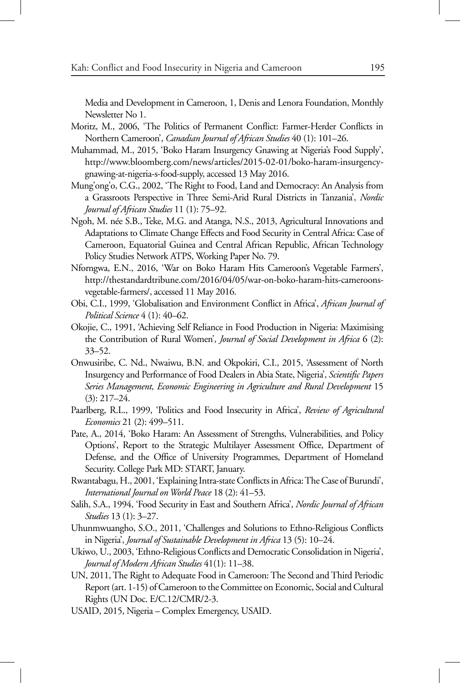Media and Development in Cameroon, 1, Denis and Lenora Foundation, Monthly Newsletter No 1.

- Moritz, M., 2006, 'The Politics of Permanent Conflict: Farmer-Herder Conflicts in Northern Cameroon', *Canadian Journal of African Studies* 40 (1): 101–26.
- Muhammad, M., 2015, 'Boko Haram Insurgency Gnawing at Nigeria's Food Supply', http://www.bloomberg.com/news/articles/2015-02-01/boko-haram-insurgencygnawing-at-nigeria-s-food-supply, accessed 13 May 2016.
- Mung'ong'o, C.G., 2002, 'The Right to Food, Land and Democracy: An Analysis from a Grassroots Perspective in Three Semi-Arid Rural Districts in Tanzania', *Nordic Journal of African Studies* 11 (1): 75–92.
- Ngoh, M. née S.B., Teke, M.G. and Atanga, N.S., 2013, Agricultural Innovations and Adaptations to Climate Change Effects and Food Security in Central Africa: Case of Cameroon, Equatorial Guinea and Central African Republic, African Technology Policy Studies Network ATPS, Working Paper No. 79.
- Nforngwa, E.N., 2016, 'War on Boko Haram Hits Cameroon's Vegetable Farmers', http://thestandardtribune.com/2016/04/05/war-on-boko-haram-hits-cameroonsvegetable-farmers/, accessed 11 May 2016.
- Obi, C.I., 1999, 'Globalisation and Environment Conflict in Africa', *African Journal of Political Science* 4 (1): 40–62.
- Okojie, C., 1991, 'Achieving Self Reliance in Food Production in Nigeria: Maximising the Contribution of Rural Women', *Journal of Social Development in Africa* 6 (2): 33–52.
- Onwusiribe, C. Nd., Nwaiwu, B.N. and Okpokiri, C.I., 2015, 'Assessment of North Insurgency and Performance of Food Dealers in Abia State, Nigeria', *Scientific Papers Series Management, Economic Engineering in Agriculture and Rural Development* 15 (3): 217–24.
- Paarlberg, R.L., 1999, 'Politics and Food Insecurity in Africa', *Review of Agricultural Economics* 21 (2): 499–511.
- Pate, A., 2014, 'Boko Haram: An Assessment of Strengths, Vulnerabilities, and Policy Options', Report to the Strategic Multilayer Assessment Office, Department of Defense, and the Office of University Programmes, Department of Homeland Security. College Park MD: START, January.
- Rwantabagu, H., 2001, 'Explaining Intra-state Conflicts in Africa: The Case of Burundi', *International Journal on World Peace* 18 (2): 41–53.
- Salih, S.A., 1994, 'Food Security in East and Southern Africa', *Nordic Journal of African Studies* 13 (1): 3–27.
- Uhunmwuangho, S.O., 2011, 'Challenges and Solutions to Ethno-Religious Conflicts in Nigeria', *Journal of Sustainable Development in Africa* 13 (5): 10–24.
- Ukiwo, U., 2003, 'Ethno-Religious Conflicts and Democratic Consolidation in Nigeria', *Journal of Modern African Studies* 41(1): 11–38.
- UN, 2011, The Right to Adequate Food in Cameroon: The Second and Third Periodic Report (art. 1-15) of Cameroon to the Committee on Economic, Social and Cultural Rights (UN Doc. E/C.12/CMR/2-3.
- USAID, 2015, Nigeria Complex Emergency, USAID.